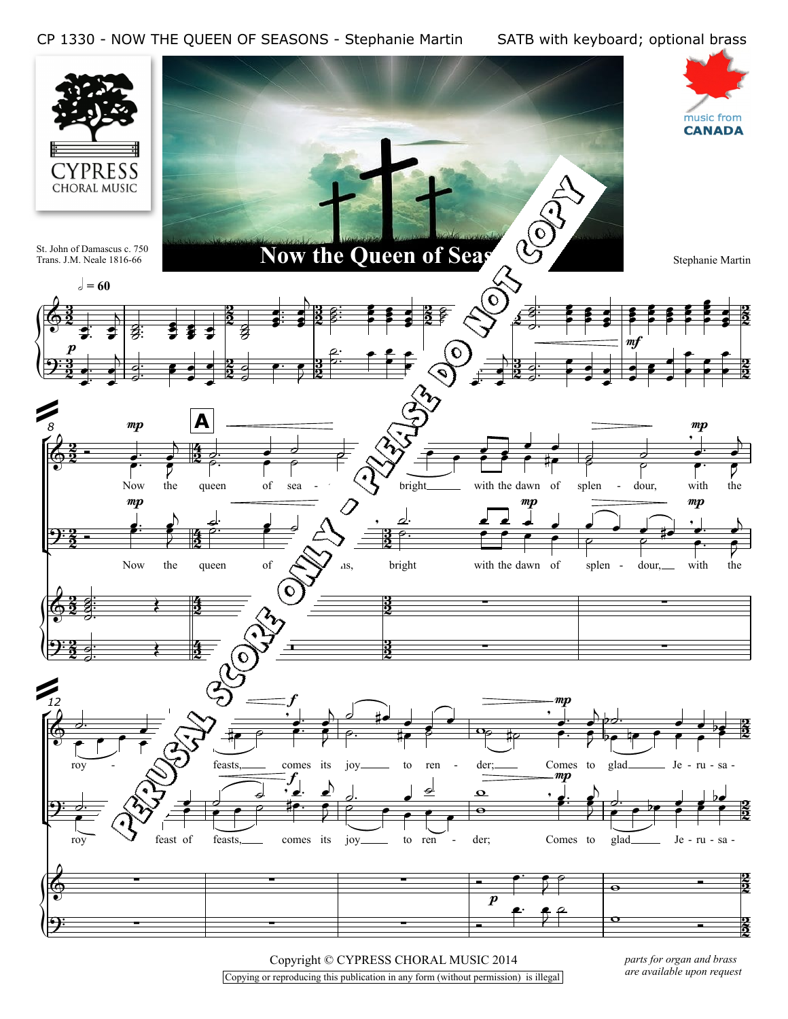

Copyright © CYPRESS CHORAL MUSIC 2014 Copying or reproducing this publication in any form (without permission) is illegal *parts for organ and brass are available upon request*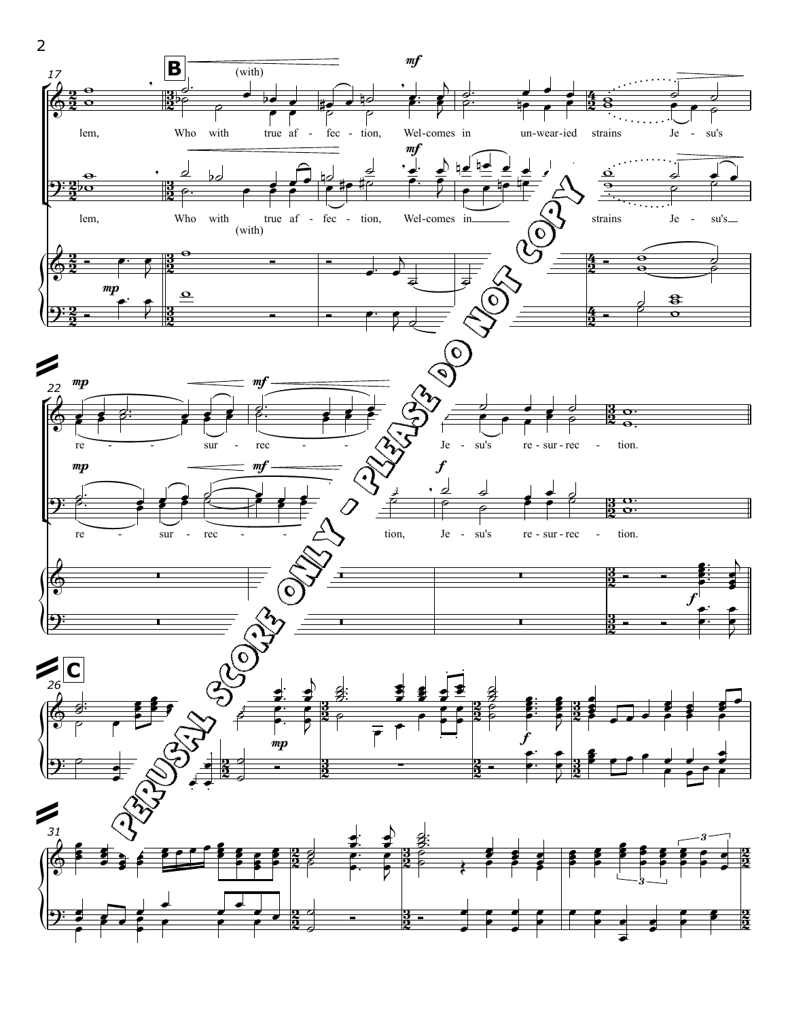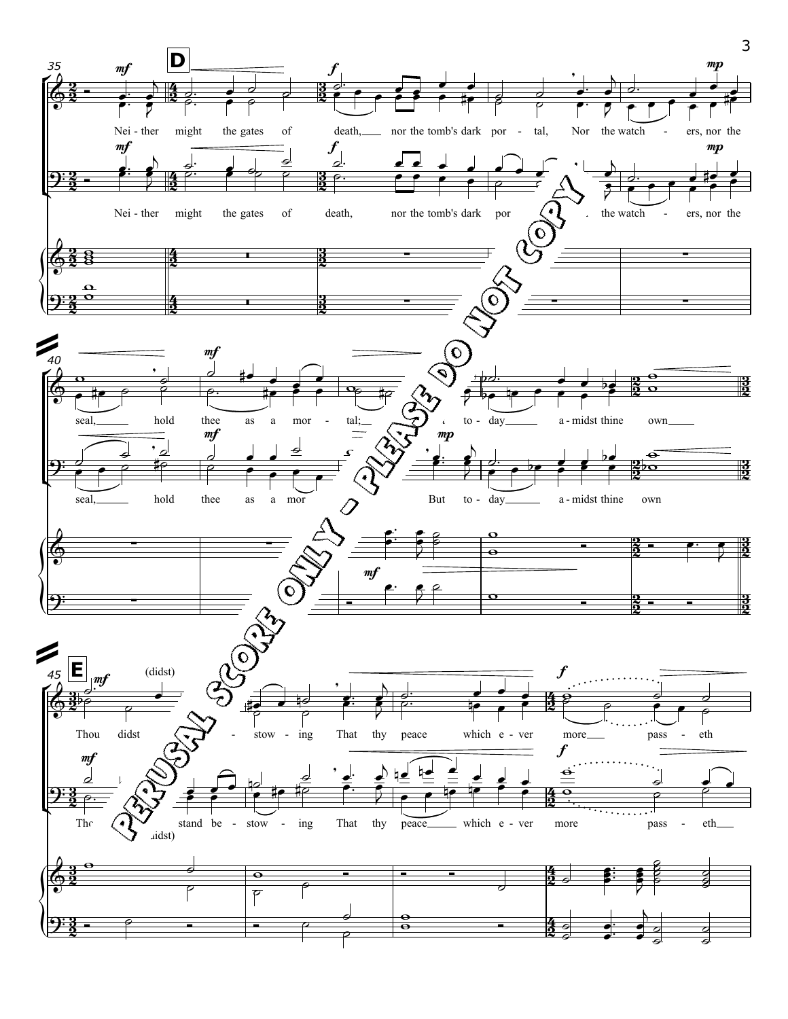